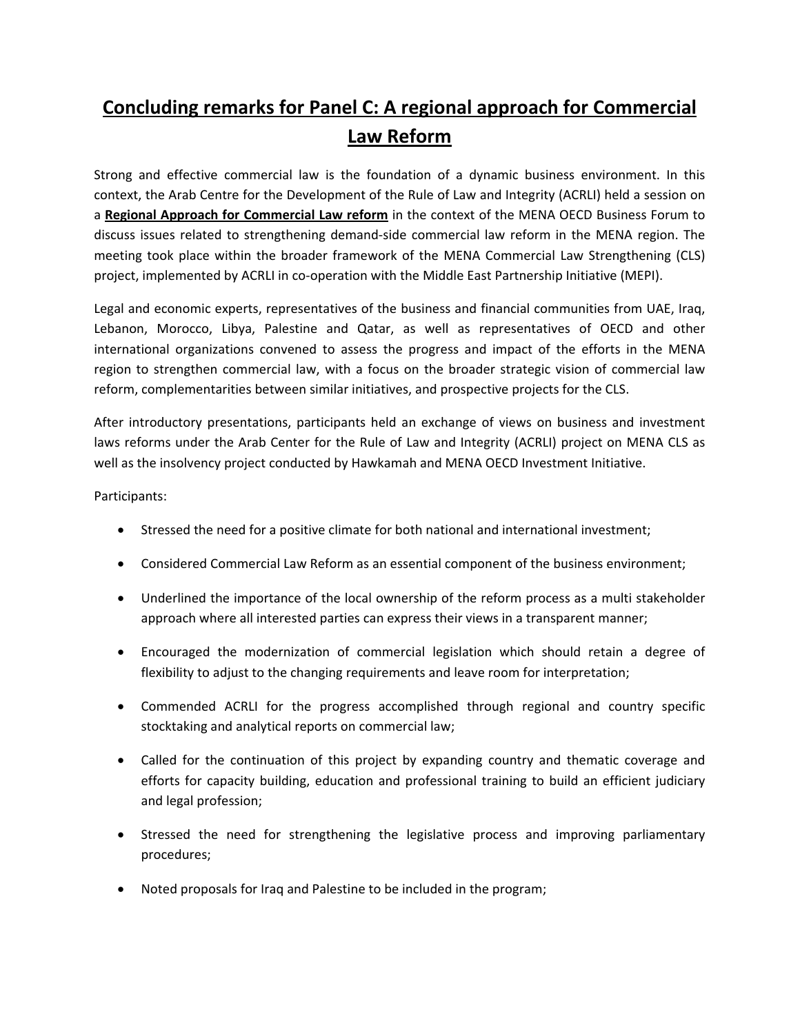## **Concluding remarks for Panel C: A regional approach for Commercial Law Reform**

Strong and effective commercial law is the foundation of a dynamic business environment. In this context, the Arab Centre for the Development of the Rule of Law and Integrity (ACRLI) held a session on a **Regional Approach for Commercial Law reform** in the context of the MENA OECD Business Forum to discuss issues related to strengthening demand‐side commercial law reform in the MENA region. The meeting took place within the broader framework of the MENA Commercial Law Strengthening (CLS) project, implemented by ACRLI in co-operation with the Middle East Partnership Initiative (MEPI).

Legal and economic experts, representatives of the business and financial communities from UAE, Iraq, Lebanon, Morocco, Libya, Palestine and Qatar, as well as representatives of OECD and other international organizations convened to assess the progress and impact of the efforts in the MENA region to strengthen commercial law, with a focus on the broader strategic vision of commercial law reform, complementarities between similar initiatives, and prospective projects for the CLS.

After introductory presentations, participants held an exchange of views on business and investment laws reforms under the Arab Center for the Rule of Law and Integrity (ACRLI) project on MENA CLS as well as the insolvency project conducted by Hawkamah and MENA OECD Investment Initiative.

## Participants:

- Stressed the need for a positive climate for both national and international investment;
- Considered Commercial Law Reform as an essential component of the business environment;
- Underlined the importance of the local ownership of the reform process as a multi stakeholder approach where all interested parties can express their views in a transparent manner;
- Encouraged the modernization of commercial legislation which should retain a degree of flexibility to adjust to the changing requirements and leave room for interpretation;
- Commended ACRLI for the progress accomplished through regional and country specific stocktaking and analytical reports on commercial law;
- Called for the continuation of this project by expanding country and thematic coverage and efforts for capacity building, education and professional training to build an efficient judiciary and legal profession;
- Stressed the need for strengthening the legislative process and improving parliamentary procedures;
- Noted proposals for Iraq and Palestine to be included in the program;